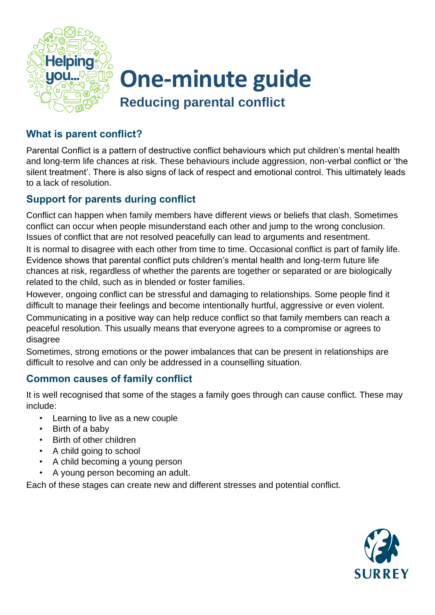

# **One-minute guide Reducing parental conflict**

## **What is parent conflict?**

Parental Conflict is a pattern of destructive conflict behaviours which put children's mental health and long-term life chances at risk. These behaviours include aggression, non-verbal conflict or 'the silent treatment'. There is also signs of lack of respect and emotional control. This ultimately leads to a lack of resolution.

## **Support for parents during conflict**

Conflict can happen when family members have different views or beliefs that clash. Sometimes conflict can occur when people misunderstand each other and jump to the wrong conclusion. Issues of conflict that are not resolved peacefully can lead to arguments and resentment.

It is normal to disagree with each other from time to time. Occasional conflict is part of family life. Evidence shows that parental conflict puts children's mental health and long-term future life chances at risk, regardless of whether the parents are together or separated or are biologically related to the child, such as in blended or foster families.

However, ongoing conflict can be stressful and damaging to relationships. Some people find it difficult to manage their feelings and become intentionally hurtful, aggressive or even violent.

Communicating in a positive way can help reduce conflict so that family members can reach a peaceful resolution. This usually means that everyone agrees to a compromise or agrees to disagree

Sometimes, strong emotions or the power imbalances that can be present in relationships are difficult to resolve and can only be addressed in a counselling situation.

### **Common causes of family conflict**

It is well recognised that some of the stages a family goes through can cause conflict. These may include:

- Learning to live as a new couple
- Birth of a baby
- Birth of other children
- A child going to school
- A child becoming a young person
- A young person becoming an adult.

Each of these stages can create new and different stresses and potential conflict.

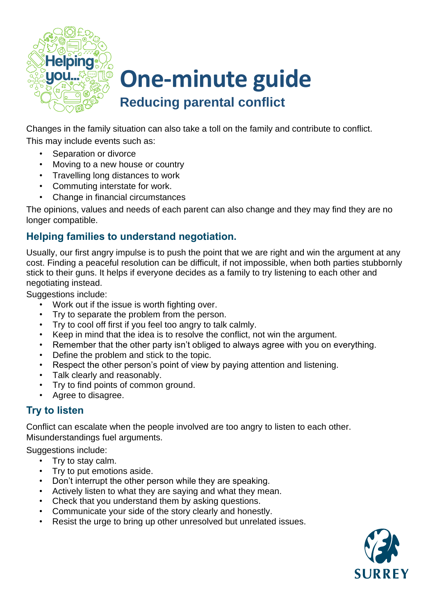

# **One-minute guide Reducing parental conflict**

Changes in the family situation can also take a toll on the family and contribute to conflict. This may include events such as:

- Separation or divorce
- Moving to a new house or country
- Travelling long distances to work
- Commuting interstate for work.
- Change in financial circumstances

The opinions, values and needs of each parent can also change and they may find they are no longer compatible.

# **Helping families to understand negotiation.**

Usually, our first angry impulse is to push the point that we are right and win the argument at any cost. Finding a peaceful resolution can be difficult, if not impossible, when both parties stubbornly stick to their guns. It helps if everyone decides as a family to try listening to each other and negotiating instead.

Suggestions include:

- Work out if the issue is worth fighting over.
- Try to separate the problem from the person.
- Try to cool off first if you feel too angry to talk calmly.
- Keep in mind that the idea is to resolve the conflict, not win the argument.
- Remember that the other party isn't obliged to always agree with you on everything.
- Define the problem and stick to the topic.
- Respect the other person's point of view by paying attention and listening.
- Talk clearly and reasonably.
- Try to find points of common ground.
- Agree to disagree.

### **Try to listen**

Conflict can escalate when the people involved are too angry to listen to each other. Misunderstandings fuel arguments.

Suggestions include:

- Try to stay calm.
- Try to put emotions aside.
- Don't interrupt the other person while they are speaking.
- Actively listen to what they are saying and what they mean.
- Check that you understand them by asking questions.
- Communicate your side of the story clearly and honestly.
- Resist the urge to bring up other unresolved but unrelated issues.